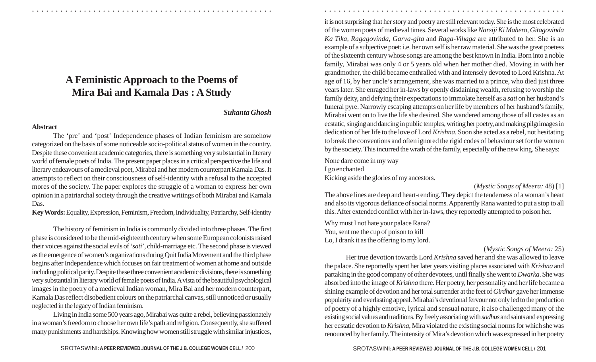# **A Feministic Approach to the Poems of Mira Bai and Kamala Das : A Study**

### *Sukanta Ghosh*

#### **Abstract**

The 'pre' and 'post' Independence phases of Indian feminism are somehow categorized on the basis of some noticeable socio-political status of women in the country. Despite these convenient academic categories, there is something very substantial in literary world of female poets of India. The present paper places in a critical perspective the life and literary endeavours of a medieval poet, Mirabai and her modern counterpart Kamala Das. It attempts to reflect on their consciousness of self-identity with a refusal to the accepted mores of the society. The paper explores the struggle of a woman to express her own opinion in a patriarchal society through the creative writings of both Mirabai and Kamala Das.

**Key Words:** Equality, Expression, Feminism, Freedom, Individuality, Patriarchy, Self-identity

The history of feminism in India is commonly divided into three phases. The first phase is considered to be the mid-eighteenth century when some European colonists raised their voices against the social evils of '*sati*', child-marriage etc. The second phase is viewed as the emergence of women's organizations during Quit India Movement and the third phase begins after Independence which focuses on fair treatment of women at home and outside including political parity. Despite these three convenient academic divisions, there is something very substantial in literary world of female poets of India. A vista of the beautiful psychological images in the poetry of a medieval Indian woman, Mira Bai and her modern counterpart, Kamala Das reflect disobedient colours on the patriarchal canvas, still unnoticed or usually neglected in the legacy of Indian feminism.

Living in India some 500 years ago, Mirabai was quite a rebel, believing passionately in a woman's freedom to choose her own life's path and religion. Consequently, she suffered many punishments and hardships. Knowing how women still struggle with similar injustices,

it is not surprising that her story and poetry are still relevant today. She is the most celebrated of the women poets of medieval times. Several works like *Narsiji Ki Mahero, Gitagovinda Ka Tika, Ragagovinda, Garva-gita* and *Raga-Vihaga* are attributed to her. She is an example of a subjective poet: i.e. her own self is her raw material. She was the great poetess of the sixteenth century whose songs are among the best known in India. Born into a noble family, Mirabai was only 4 or 5 years old when her mother died. Moving in with her grandmother, the child became enthralled with and intensely devoted to Lord Krishna. At age of 16, by her uncle's arrangement, she was married to a prince, who died just three years later. She enraged her in-laws by openly disdaining wealth, refusing to worship the family deity, and defying their expectations to immolate herself as a *sati* on her husband's funeral pyre. Narrowly escaping attempts on her life by members of her husband's family, Mirabai went on to live the life she desired. She wandered among those of all castes as an ecstatic, singing and dancing in public temples, writing her poetry, and making pilgrimages in dedication of her life to the love of Lord *Krishna*. Soon she acted as a rebel, not hesitating to break the conventions and often ignored the rigid codes of behaviour set for the women by the society. This incurred the wrath of the family, especially of the new king. She says:

○ ○ ○ ○ ○ ○ ○ ○ ○ ○ ○ ○ ○ ○ ○ ○ ○ ○ ○ ○ ○ ○ ○ ○ ○ ○ ○ ○ ○ ○ ○ ○ ○ ○ ○ ○ ○ ○ ○ ○ ○ ○ ○ ○ ○ ○ ○ ○ ○ ○ ○ ○ ○ ○ ○ ○ ○ ○ ○ ○ ○ ○ ○ ○ ○ ○ ○ ○ ○ ○ ○ ○ ○ ○ ○ ○ ○ ○ ○ ○ ○ ○ ○ ○ ○ ○ ○ ○ ○ ○ ○ ○ ○ ○ ○ ○ ○ ○ ○ ○ ○ ○

None dare come in my way I go enchanted Kicking aside the glories of my ancestors.

## (*Mystic Songs of Meera:* 48) [1]

The above lines are deep and heart-rending. They depict the tenderness of a woman's heart and also its vigorous defiance of social norms. Apparently Rana wanted to put a stop to all this. After extended conflict with her in-laws, they reportedly attempted to poison her.

Why must I not hate your palace Rana? You, sent me the cup of poison to kill Lo, I drank it as the offering to my lord.

## (*Mystic Songs of Meera:* 25)

Her true devotion towards Lord *Krishna* saved her and she was allowed to leave the palace. She reportedly spent her later years visiting places associated with *Krishna* and partaking in the good company of other devotees, until finally she went to *Dwarka*. She was absorbed into the image of *Krishna* there. Her poetry, her personality and her life became a shining example of devotion and her total surrender at the feet of *Girdhar* gave her immense popularity and everlasting appeal. Mirabai's devotional fervour not only led to the production of poetry of a highly emotive, lyrical and sensual nature, it also challenged many of the existing social values and traditions. By freely associating with *sadhus* and saints and expressing her ecstatic devotion to *Krishna*, Mira violated the existing social norms for which she was renounced by her family. The intensity of Mira's devotion which was expressed in her poetry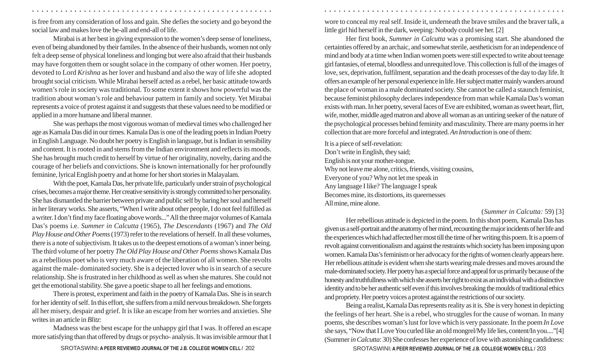is free from any consideration of loss and gain. She defies the society and go beyond the social law and makes love the be-all and end-all of life.

Mirabai is at her best in giving expression to the women's deep sense of loneliness, even of being abandoned by their familes. In the absence of their husbands, women not only felt a deep sense of physical loneliness and longing but were also afraid that their husbands may have forgotten them or sought solace in the company of other women. Her poetry, devoted to Lord *Krishna* as her lover and husband and also the way of life she adopted brought social criticism. While Mirabai herself acted as a rebel, her basic attitude towards women's role in society was traditional. To some extent it shows how powerful was the tradition about woman's role and behaviour pattern in family and society. Yet Mirabai represents a voice of protest against it and suggests that these values need to be modified or applied in a more humane and liberal manner.

She was perhaps the most vigorous woman of medieval times who challenged her age as Kamala Das did in our times. Kamala Das is one of the leading poets in Indian Poetry in English Language. No doubt her poetry is English in language, but is Indian in sensibility and content. It is rooted in and stems from the Indian environment and reflects its moods. She has brought much credit to herself by virtue of her originality, novelty, daring and the courage of her beliefs and convictions. She is known internationally for her profoundly feminine, lyrical English poetry and at home for her short stories in Malayalam.

With the poet, Kamala Das, her private life, particularly under strain of psychological crises, becomes a major theme. Her creative sensitivity is strongly committed to her personality. She has dismantled the barrier between private and public self by baring her soul and herself in her literary works. She asserts, "When I write about other people, I do not feel fulfilled as a writer. I don't find my face floating above words..." All the three major volumes of Kamala Das's poems i.e. *Summer in Calcutta* (1965), *The Descendants* (1967) and *The Old Play House and Other Poems* (1973) refer to the revelations of herself. In all these volumes, there is a note of subjectivism. It takes us to the deepest emotions of a woman's inner being. The third volume of her poetry *The Old Play House and Other Poems* shows Kamala Das as a rebellious poet who is very much aware of the liberation of all women. She revolts against the male- dominated society. She is a dejected lover who is in search of a secure relationship. She is frustrated in her childhood as well as when she matures. She could not get the emotional stability. She gave a poetic shape to all her feelings and emotions.

There is protest, experiment and faith in the poetry of Kamala Das. She is in search for her identity of self. In this effort, she suffers from a mild nervous breakdown. She forgets all her misery, despair and grief. It is like an escape from her worries and anxieties. She writes in an article in *Blitz*:

Madness was the best escape for the unhappy girl that I was. It offered an escape more satisfying than that offered by drugs or psycho- analysis. It was invisible armour that I

wore to conceal my real self. Inside it, underneath the brave smiles and the braver talk, a little girl hid herself in the dark, weeping: Nobody could see her. [2]

Her first book, *Summer in Calcutta* was a promising start. She abandoned the certainties offered by an archaic, and somewhat sterile, aestheticism for an independence of mind and body at a time when Indian women poets were still expected to write about teenage girl fantasies, of eternal, bloodless and unrequited love. This collection is full of the images of love, sex, deprivation, fulfilment, separation and the death processes of the day to day life. It offers an example of her personal experience in life. Her subject matter mainly wanders around the place of woman in a male dominated society. She cannot be called a staunch feminist, because feminist philosophy declares independence from man while Kamala Das's woman exists with man. In her poetry, several faces of Eve are exhibited, woman as sweet heart, flirt, wife, mother, middle aged matron and above all woman as an untiring seeker of the nature of the psychological processes behind feminity and masculinity. There are many poems in her collection that are more forceful and integrated. *An Introduction* is one of them:

It is a piece of self-revelation: Don't write in English, they said; English is not your mother-tongue. Why not leave me alone, critics, friends, visiting cousins, Everyone of you? Why not let me speak in Any language I like? The language I speak Becomes mine, its distortions, its queernesses All mine, mine alone.

○ ○ ○ ○ ○ ○ ○ ○ ○ ○ ○ ○ ○ ○ ○ ○ ○ ○ ○ ○ ○ ○ ○ ○ ○ ○ ○ ○ ○ ○ ○ ○ ○ ○ ○ ○ ○ ○ ○ ○ ○ ○ ○ ○ ○ ○ ○ ○ ○ ○ ○ ○ ○ ○ ○ ○ ○ ○ ○ ○ ○ ○ ○ ○ ○ ○ ○ ○ ○ ○ ○ ○ ○ ○ ○ ○ ○ ○ ○ ○ ○ ○ ○ ○ ○ ○ ○ ○ ○ ○ ○ ○ ○ ○ ○ ○ ○ ○ ○ ○ ○ ○

(*Summer in Calcutta:* 59) [3]

Her rebellious attitude is depicted in the poem. In this short poem, Kamala Das has given us a self-portrait and the anatomy of her mind, recounting the major incidents of her life and the experiences which had affected her most till the time of her writing this poem. It is a poem of revolt against conventionalism and against the restraints which society has been imposing upon women. Kamala Das's feminism or her advocacy for the rights of women clearly appears here. Her rebellious attitude is evident when she starts wearing male dresses and moves around the male-dominated society. Her poetry has a special force and appeal for us primarily because of the honesty and truthfullness with which she asserts her right to exist as an individual with a distinctive identity and to be her authentic self even if this involves breaking the moulds of traditional ethics and propriety. Her poetry voices a protest against the restrictions of our society.

Being a realist, Kamala Das represents reality as it is. She is very honest in depicting the feelings of her heart. She is a rebel, who struggles for the cause of woman. In many poems, she describes woman's lust for love which is very passionate. In the poem *In Love* she says, "Now that I Love You curled like an old mongrel/My life lies, content/In you...."[4] (Summer *in Calcutta*: 30) She confesses her experience of love with astonishing candidness:

SROTASWINI: A PEER REVIEWED JOURNAL OF THE J.B. COLLEGE WOMEN CELL / 203